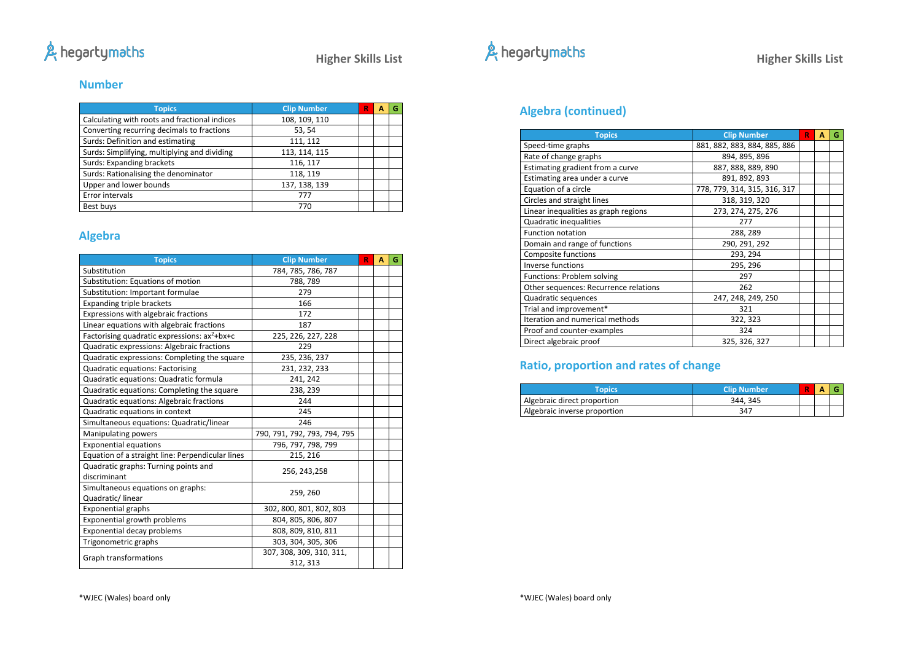## & hegartymaths

**Higher Skills List**

### **Number**

| <b>Topics</b>                                 | <b>Clip Number</b> | R | Α | G |
|-----------------------------------------------|--------------------|---|---|---|
| Calculating with roots and fractional indices | 108, 109, 110      |   |   |   |
| Converting recurring decimals to fractions    | 53, 54             |   |   |   |
| Surds: Definition and estimating              | 111, 112           |   |   |   |
| Surds: Simplifying, multiplying and dividing  | 113, 114, 115      |   |   |   |
| Surds: Expanding brackets                     | 116, 117           |   |   |   |
| Surds: Rationalising the denominator          | 118, 119           |   |   |   |
| Upper and lower bounds                        | 137, 138, 139      |   |   |   |
| Error intervals                               | 777                |   |   |   |
| Best buys                                     | 770                |   |   |   |

## **Algebra**

| <b>Topics</b>                                            | <b>Clip Number</b>           | R | A | G |
|----------------------------------------------------------|------------------------------|---|---|---|
| Substitution                                             | 784, 785, 786, 787           |   |   |   |
| Substitution: Equations of motion                        | 788, 789                     |   |   |   |
| Substitution: Important formulae                         | 279                          |   |   |   |
| <b>Expanding triple brackets</b>                         | 166                          |   |   |   |
| Expressions with algebraic fractions                     | 172                          |   |   |   |
| Linear equations with algebraic fractions                | 187                          |   |   |   |
| Factorising quadratic expressions: ax <sup>2</sup> +bx+c | 225, 226, 227, 228           |   |   |   |
| Quadratic expressions: Algebraic fractions               | 229                          |   |   |   |
| Quadratic expressions: Completing the square             | 235, 236, 237                |   |   |   |
| Quadratic equations: Factorising                         | 231, 232, 233                |   |   |   |
| Quadratic equations: Quadratic formula                   | 241, 242                     |   |   |   |
| Quadratic equations: Completing the square               | 238, 239                     |   |   |   |
| Quadratic equations: Algebraic fractions                 | 244                          |   |   |   |
| Quadratic equations in context                           | 245                          |   |   |   |
| Simultaneous equations: Quadratic/linear                 | 246                          |   |   |   |
| <b>Manipulating powers</b>                               | 790, 791, 792, 793, 794, 795 |   |   |   |
| <b>Exponential equations</b>                             | 796, 797, 798, 799           |   |   |   |
| Equation of a straight line: Perpendicular lines         | 215, 216                     |   |   |   |
| Quadratic graphs: Turning points and                     | 256, 243, 258                |   |   |   |
| discriminant                                             |                              |   |   |   |
| Simultaneous equations on graphs:                        | 259, 260                     |   |   |   |
| Quadratic/linear                                         |                              |   |   |   |
| <b>Exponential graphs</b>                                | 302, 800, 801, 802, 803      |   |   |   |
| Exponential growth problems                              | 804, 805, 806, 807           |   |   |   |
| Exponential decay problems                               | 808, 809, 810, 811           |   |   |   |
| Trigonometric graphs                                     | 303, 304, 305, 306           |   |   |   |
| Graph transformations                                    | 307, 308, 309, 310, 311,     |   |   |   |
|                                                          | 312, 313                     |   |   |   |



## **Algebra (continued)**

| <b>Topics</b>                         | <b>Clip Number</b>           | R | Α | G |
|---------------------------------------|------------------------------|---|---|---|
| Speed-time graphs                     | 881, 882, 883, 884, 885, 886 |   |   |   |
| Rate of change graphs                 | 894, 895, 896                |   |   |   |
| Estimating gradient from a curve      | 887, 888, 889, 890           |   |   |   |
| Estimating area under a curve         | 891, 892, 893                |   |   |   |
| Equation of a circle                  | 778, 779, 314, 315, 316, 317 |   |   |   |
| Circles and straight lines            | 318, 319, 320                |   |   |   |
| Linear inequalities as graph regions  | 273, 274, 275, 276           |   |   |   |
| Quadratic inequalities                | 277                          |   |   |   |
| <b>Function notation</b>              | 288, 289                     |   |   |   |
| Domain and range of functions         | 290, 291, 292                |   |   |   |
| Composite functions                   | 293, 294                     |   |   |   |
| <b>Inverse functions</b>              | 295, 296                     |   |   |   |
| Functions: Problem solving            | 297                          |   |   |   |
| Other sequences: Recurrence relations | 262                          |   |   |   |
| Quadratic sequences                   | 247, 248, 249, 250           |   |   |   |
| Trial and improvement*                | 321                          |   |   |   |
| Iteration and numerical methods       | 322, 323                     |   |   |   |
| Proof and counter-examples            | 324                          |   |   |   |
| Direct algebraic proof                | 325, 326, 327                |   |   |   |

## **Ratio, proportion and rates of change**

| <b>Topics</b>                | <b>Clip Number</b> | R | A |  |
|------------------------------|--------------------|---|---|--|
| Algebraic direct proportion  | 344, 345           |   |   |  |
| Algebraic inverse proportion | 347                |   |   |  |